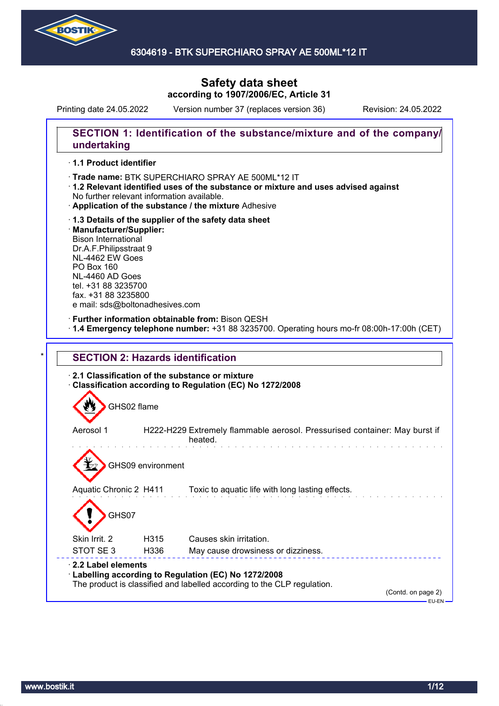

# **Safety data sheet according to 1907/2006/EC, Article 31**

Printing date 24.05.2022 Version number 37 (replaces version 36) Revision: 24.05.2022

## **SECTION 1: Identification of the substance/mixture and of the company/ undertaking**

#### · **1.1 Product identifier**

- · Trade name: BTK SUPERCHIARO SPRAY AE 500ML\*12 IT
- · **1.2 Relevant identified uses of the substance or mixture and uses advised against** No further relevant information available.
- · **Application of the substance / the mixture** Adhesive
- · **1.3 Details of the supplier of the safety data sheet** · **Manufacturer/Supplier:** Bison International Dr.A.F.Philipsstraat 9 NL-4462 EW Goes PO Box 160 NL-4460 AD Goes tel. +31 88 3235700 fax. +31 88 3235800 e mail: sds@boltonadhesives.com

### · **Further information obtainable from:** Bison QESH

· **1.4 Emergency telephone number:** +31 88 3235700. Operating hours mo-fr 08:00h-17:00h (CET)

| GHS02 flame            |                   |                                                                                       |
|------------------------|-------------------|---------------------------------------------------------------------------------------|
| Aerosol 1              |                   | H222-H229 Extremely flammable aerosol. Pressurised container: May burst if<br>heated. |
|                        | GHS09 environment |                                                                                       |
| Aquatic Chronic 2 H411 |                   | Toxic to aquatic life with long lasting effects.                                      |
| GHS07                  |                   |                                                                                       |
|                        |                   |                                                                                       |
| Skin Irrit. 2          | H315              | Causes skin irritation.                                                               |
| STOT SE 3              | H336              | May cause drowsiness or dizziness.                                                    |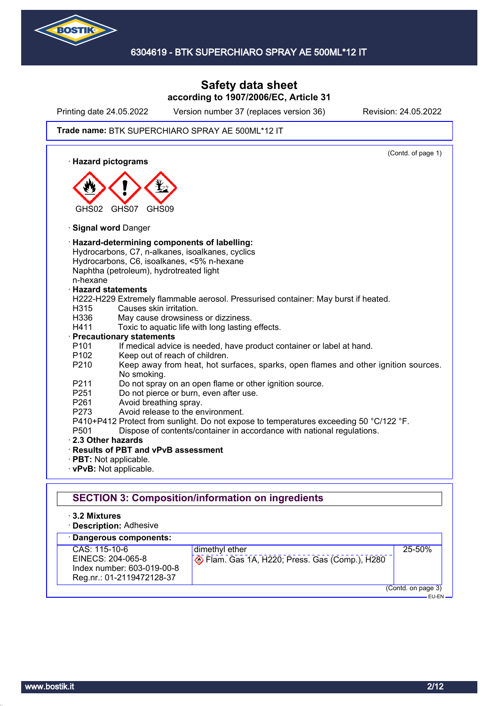

## **Safety data sheet according to 1907/2006/EC, Article 31**

Printing date 24.05.2022 Version number 37 (replaces version 36) Revision: 24.05.2022

#### Trade name: BTK SUPERCHIARO SPRAY AE 500ML\*12 IT

(Contd. of page 1) · **Hazard pictograms** GHS02 GHS07 GHS09 · **Signal word** Danger · **Hazard-determining components of labelling:** Hydrocarbons, C7, n-alkanes, isoalkanes, cyclics Hydrocarbons, C6, isoalkanes, <5% n-hexane Naphtha (petroleum), hydrotreated light n-hexane · **Hazard statements** H222-H229 Extremely flammable aerosol. Pressurised container: May burst if heated. H315 Causes skin irritation. H336 May cause drowsiness or dizziness. H411 Toxic to aquatic life with long lasting effects. · **Precautionary statements** P101 If medical advice is needed, have product container or label at hand. P102 Keep out of reach of children. P210 Keep away from heat, hot surfaces, sparks, open flames and other ignition sources. No smoking. P211 Do not spray on an open flame or other ignition source. P251 Do not pierce or burn, even after use. P261 Avoid breathing spray. P273 Avoid release to the environment. P410+P412 Protect from sunlight. Do not expose to temperatures exceeding 50 °C/122 °F. P501 Dispose of contents/container in accordance with national regulations. · **2.3 Other hazards** · **Results of PBT and vPvB assessment** · **PBT:** Not applicable. · **vPvB:** Not applicable. **SECTION 3: Composition/information on ingredients** · **3.2 Mixtures** · **Description:** Adhesive

| · Dangerous components:                                                                       |                                                                |                                     |
|-----------------------------------------------------------------------------------------------|----------------------------------------------------------------|-------------------------------------|
| CAS: 115-10-6<br>EINECS: 204-065-8<br>Index number: 603-019-00-8<br>Reg.nr.: 01-2119472128-37 | dimethyl ether<br>Flam. Gas 1A, H220; Press. Gas (Comp.), H280 | 25-50%                              |
|                                                                                               |                                                                | (Contd. on page 3)<br>$-$ FH-FN $-$ |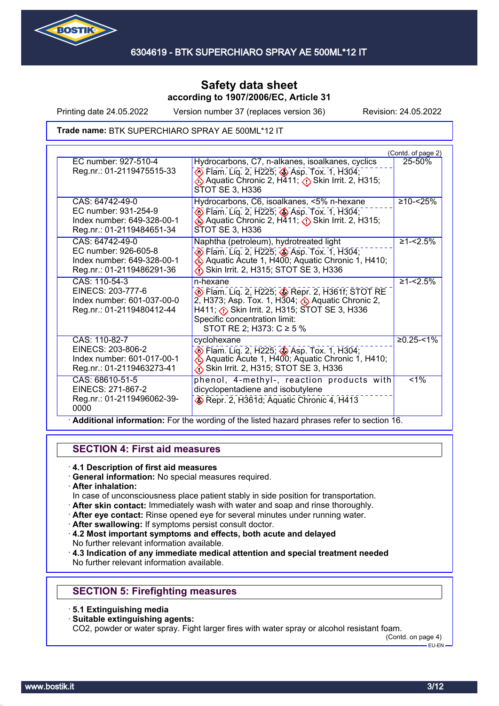

Printing date 24.05.2022 Version number 37 (replaces version 36) Revision: 24.05.2022

Trade name: BTK SUPERCHIARO SPRAY AE 500ML\*12 IT

|                                                                                 |                                                                                                                                                                                                                        | (Contd. of page 2) |
|---------------------------------------------------------------------------------|------------------------------------------------------------------------------------------------------------------------------------------------------------------------------------------------------------------------|--------------------|
| EC number: 927-510-4<br>Reg.nr.: 01-2119475515-33                               | Hydrocarbons, C7, n-alkanes, isoalkanes, cyclics<br>> Flam. Liq. 2, H225; <> Asp. Tox. 1, H304;                                                                                                                        | 25-50%             |
|                                                                                 | Aquatic Chronic 2, H411; $\bigcirc$ Skin Irrit. 2, H315;<br>STOT SE 3, H336                                                                                                                                            |                    |
| CAS: 64742-49-0<br>EC number: 931-254-9                                         | Hydrocarbons, C6, isoalkanes, <5% n-hexane                                                                                                                                                                             | $≥10 - 25%$        |
| Index number: 649-328-00-1<br>Reg.nr.: 01-2119484651-34                         | Flam. Liq. 2, H225; Asp. Tox. 1, H304;<br>Aquatic Chronic 2, H411; $\langle \cdot \rangle$ Skin Irrit. 2, H315;<br>STOT SE 3, H336                                                                                     |                    |
| CAS: 64742-49-0                                                                 | Naphtha (petroleum), hydrotreated light                                                                                                                                                                                | $≥1 - 2.5%$        |
| EC number: 926-605-8<br>Index number: 649-328-00-1<br>Reg.nr.: 01-2119486291-36 | <b>▶ Flam. Liq. 2, H225; ♦ Asp. Tox. 1, H304;</b><br>Aquatic Acute 1, H400; Aquatic Chronic 1, H410;<br>Skin Irrit. 2, H315; STOT SE 3, H336                                                                           |                    |
| CAS: 110-54-3                                                                   | n-hexane                                                                                                                                                                                                               | $≥1 - 5%$          |
| EINECS: 203-777-6<br>Index number: 601-037-00-0                                 | Flam. Liq. 2, H225; Repr. 2, H361f; STOT RE<br>2, H373; Asp. Tox. 1, H304; $\bigcirc$ Aquatic Chronic 2,                                                                                                               |                    |
| Reg.nr.: 01-2119480412-44                                                       | H411; $\diamond$ Skin Irrit. 2, H315; STOT SE 3, H336                                                                                                                                                                  |                    |
|                                                                                 | Specific concentration limit:                                                                                                                                                                                          |                    |
| CAS: 110-82-7                                                                   | STOT RE 2; H373: $C \ge 5$ %<br>cyclohexane                                                                                                                                                                            | $≥0.25 - <1%$      |
| EINECS: 203-806-2                                                               | Elam. Liq. 2, H225; Asp. Tox. 1, H304;                                                                                                                                                                                 |                    |
| Index number: 601-017-00-1                                                      | Aquatic Acute 1, H400; Aquatic Chronic 1, H410;                                                                                                                                                                        |                    |
| Reg.nr.: 01-2119463273-41                                                       | Skin Irrit. 2, H315; STOT SE 3, H336                                                                                                                                                                                   |                    |
|                                                                                 |                                                                                                                                                                                                                        |                    |
| Reg.nr.: 01-2119496062-39-                                                      |                                                                                                                                                                                                                        |                    |
| 0000                                                                            |                                                                                                                                                                                                                        |                    |
| CAS: 68610-51-5<br>EINECS: 271-867-2                                            | phenol, 4-methyl-, reaction products with<br>dicyclopentadiene and isobutylene<br>Repr. 2, H361d; Aquatic Chronic 4, H413<br>Additional information: For the wording of the listed hazard phrases refer to section 16. | $1\%$              |

## **SECTION 4: First aid measures**

### · **4.1 Description of first aid measures**

- · **General information:** No special measures required.
- · **After inhalation:**
- In case of unconsciousness place patient stably in side position for transportation.
- · **After skin contact:** Immediately wash with water and soap and rinse thoroughly.
- · **After eye contact:** Rinse opened eye for several minutes under running water.
- · **After swallowing:** If symptoms persist consult doctor.
- · **4.2 Most important symptoms and effects, both acute and delayed** No further relevant information available.
- · **4.3 Indication of any immediate medical attention and special treatment needed** No further relevant information available.

## **SECTION 5: Firefighting measures**

- · **5.1 Extinguishing media**
- · **Suitable extinguishing agents:**

CO2, powder or water spray. Fight larger fires with water spray or alcohol resistant foam.

(Contd. on page 4)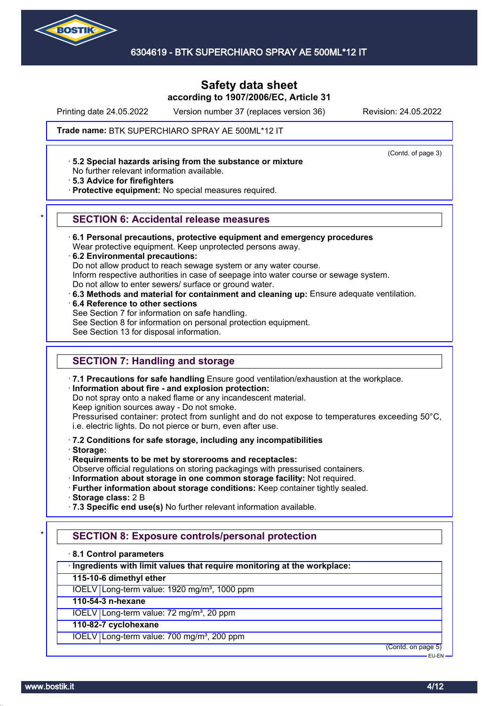

# **Safety data sheet according to 1907/2006/EC, Article 31**

Printing date 24.05.2022 Version number 37 (replaces version 36) Revision: 24.05.2022

(Contd. of page 3)

#### Trade name: BTK SUPERCHIARO SPRAY AE 500ML\*12 IT

· **5.2 Special hazards arising from the substance or mixture**

No further relevant information available.

· **5.3 Advice for firefighters**

· **Protective equipment:** No special measures required.

#### \* **SECTION 6: Accidental release measures**

· **6.1 Personal precautions, protective equipment and emergency procedures**

Wear protective equipment. Keep unprotected persons away.

· **6.2 Environmental precautions:**

Do not allow product to reach sewage system or any water course.

Inform respective authorities in case of seepage into water course or sewage system.

Do not allow to enter sewers/ surface or ground water.

· **6.3 Methods and material for containment and cleaning up:** Ensure adequate ventilation.

· **6.4 Reference to other sections**

See Section 7 for information on safe handling.

See Section 8 for information on personal protection equipment.

See Section 13 for disposal information.

## **SECTION 7: Handling and storage**

· **7.1 Precautions for safe handling** Ensure good ventilation/exhaustion at the workplace.

#### · **Information about fire - and explosion protection:**

Do not spray onto a naked flame or any incandescent material.

Keep ignition sources away - Do not smoke.

Pressurised container: protect from sunlight and do not expose to temperatures exceeding 50°C, i.e. electric lights. Do not pierce or burn, even after use.

#### · **7.2 Conditions for safe storage, including any incompatibilities**

· **Storage:**

- · **Requirements to be met by storerooms and receptacles:**
- Observe official regulations on storing packagings with pressurised containers.
- · **Information about storage in one common storage facility:** Not required.
- · **Further information about storage conditions:** Keep container tightly sealed.

· **Storage class:** 2 B

· **7.3 Specific end use(s)** No further relevant information available.

## **SECTION 8: Exposure controls/personal protection**

· **8.1 Control parameters**

· **Ingredients with limit values that require monitoring at the workplace:**

**115-10-6 dimethyl ether**

IOELV Long-term value: 1920 mg/m<sup>3</sup>, 1000 ppm

### **110-54-3 n-hexane**

IOELV Long-term value: 72 mg/m<sup>3</sup>, 20 ppm

#### **110-82-7 cyclohexane**

IOELV Long-term value: 700 mg/m<sup>3</sup>, 200 ppm

(Contd. on page 5) EU-EN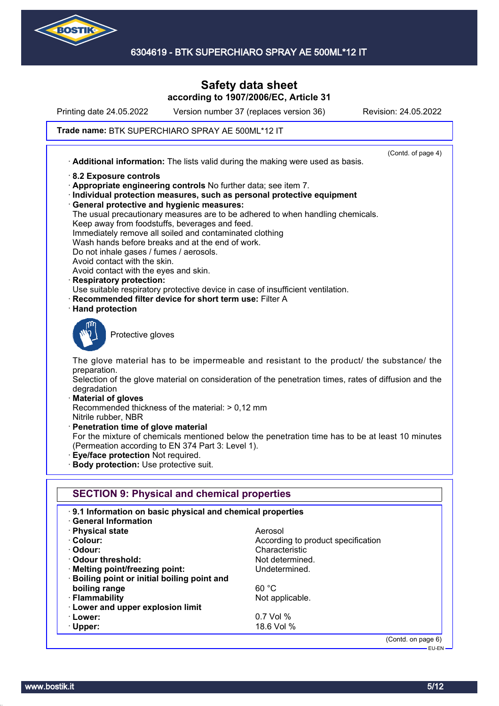

# **Safety data sheet according to 1907/2006/EC, Article 31**

Printing date 24.05.2022 Version number 37 (replaces version 36) Revision: 24.05.2022

### Trade name: BTK SUPERCHIARO SPRAY AE 500ML\*12 IT

(Contd. of page 4) · **Additional information:** The lists valid during the making were used as basis. · **8.2 Exposure controls** · **Appropriate engineering controls** No further data; see item 7. · **Individual protection measures, such as personal protective equipment** · **General protective and hygienic measures:** The usual precautionary measures are to be adhered to when handling chemicals. Keep away from foodstuffs, beverages and feed. Immediately remove all soiled and contaminated clothing Wash hands before breaks and at the end of work. Do not inhale gases / fumes / aerosols. Avoid contact with the skin. Avoid contact with the eyes and skin. · **Respiratory protection:** Use suitable respiratory protective device in case of insufficient ventilation. **Recommended filter device for short term use: Filter A** · **Hand protection** Protective gloves The glove material has to be impermeable and resistant to the product/ the substance/ the preparation. Selection of the glove material on consideration of the penetration times, rates of diffusion and the degradation · **Material of gloves** Recommended thickness of the material: > 0,12 mm Nitrile rubber, NBR · **Penetration time of glove material** For the mixture of chemicals mentioned below the penetration time has to be at least 10 minutes (Permeation according to EN 374 Part 3: Level 1). · **Eye/face protection** Not required. · **Body protection:** Use protective suit. **SECTION 9: Physical and chemical properties** · **9.1 Information on basic physical and chemical properties** · **General Information** · **Physical state** Aerosol · **Colour:** According to product specification · **Odour:** Characteristic · **Odour threshold:** Not determined. **Melting point/freezing point:** Undetermined. · **Boiling point or initial boiling point and boiling range** 60 °C · **Flammability Not applicable.** Not applicable. · **Lower and upper explosion limit** · **Lower:** 0.7 Vol % · **Upper:** 18.6 Vol % (Contd. on page 6)

EU-EN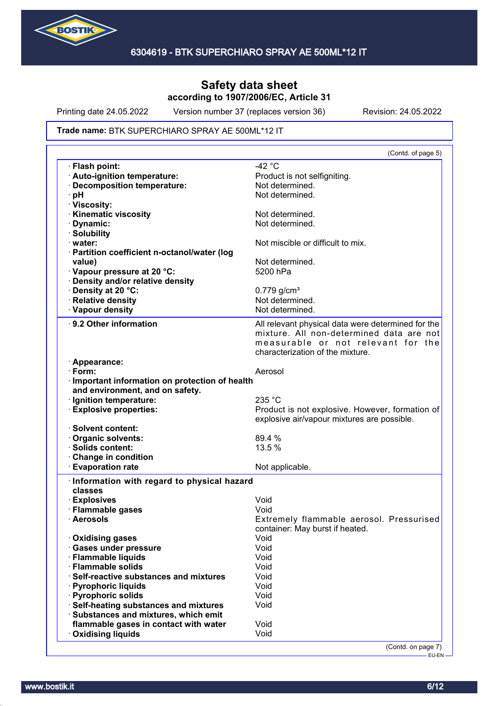

Printing date 24.05.2022 Version number 37 (replaces version 36) Revision: 24.05.2022

#### Trade name: BTK SUPERCHIARO SPRAY AE 500ML\*12 IT

| (Contd. of page 5)                                 |
|----------------------------------------------------|
| $-42 °C$                                           |
| Product is not selfigniting.                       |
| Not determined.                                    |
| Not determined.                                    |
|                                                    |
| Not determined.                                    |
| Not determined.                                    |
|                                                    |
| Not miscible or difficult to mix.                  |
|                                                    |
| Not determined.                                    |
| 5200 hPa                                           |
|                                                    |
| $0.779$ g/cm <sup>3</sup>                          |
| Not determined.                                    |
| Not determined.                                    |
|                                                    |
| All relevant physical data were determined for the |
| mixture. All non-determined data are not           |
| measurable or not relevant for the                 |
| characterization of the mixture.                   |
|                                                    |
| Aerosol                                            |
| · Important information on protection of health    |
|                                                    |
| 235 °C                                             |
| Product is not explosive. However, formation of    |
| explosive air/vapour mixtures are possible.        |
| 89.4 %                                             |
| 13.5 %                                             |
|                                                    |
| Not applicable.                                    |
|                                                    |
| Information with regard to physical hazard         |
|                                                    |
| Void                                               |
| Void                                               |
| Extremely flammable aerosol. Pressurised           |
| container: May burst if heated.                    |
|                                                    |
| Void                                               |
| Void                                               |
| Void                                               |
| Void                                               |
| Void                                               |
| Void                                               |
| Void                                               |
| Void                                               |
|                                                    |
| Void                                               |
|                                                    |

-<br>EU-EN-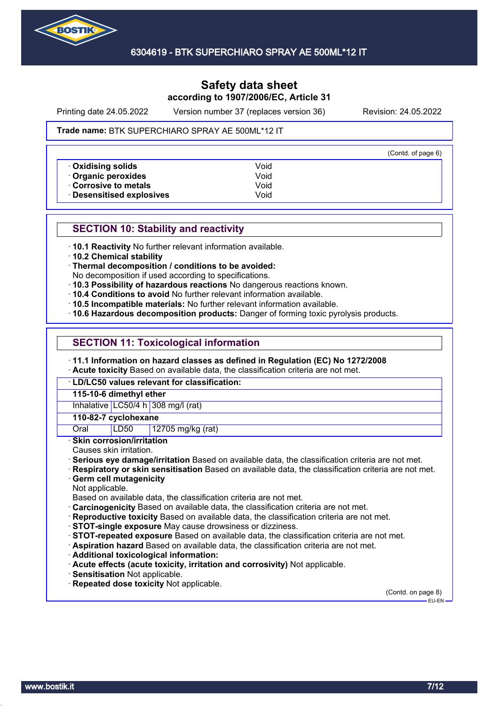

Printing date 24.05.2022 Version number 37 (replaces version 36) Revision: 24.05.2022

#### Trade name: BTK SUPERCHIARO SPRAY AE 500ML\*12 IT

|                           |      | (Contd. of page 6) |
|---------------------------|------|--------------------|
| Oxidising solids          | Void |                    |
| Organic peroxides         | Void |                    |
| Corrosive to metals       | Void |                    |
| · Desensitised explosives | Void |                    |

### **SECTION 10: Stability and reactivity**

· **10.1 Reactivity** No further relevant information available.

· **10.2 Chemical stability**

· **Thermal decomposition / conditions to be avoided:**

No decomposition if used according to specifications.

- · **10.3 Possibility of hazardous reactions** No dangerous reactions known.
- · **10.4 Conditions to avoid** No further relevant information available.
- · **10.5 Incompatible materials:** No further relevant information available.
- · **10.6 Hazardous decomposition products:** Danger of forming toxic pyrolysis products.

## **SECTION 11: Toxicological information**

· **11.1 Information on hazard classes as defined in Regulation (EC) No 1272/2008**

· **Acute toxicity** Based on available data, the classification criteria are not met.

· **LD/LC50 values relevant for classification:**

**115-10-6 dimethyl ether**

Inhalative LC50/4 h 308 mg/l (rat)

#### **110-82-7 cyclohexane**

Oral LD50 12705 mg/kg (rat)

· **Skin corrosion/irritation**

Causes skin irritation.

· **Serious eye damage/irritation** Based on available data, the classification criteria are not met.

· **Respiratory or skin sensitisation** Based on available data, the classification criteria are not met.

### · **Germ cell mutagenicity**

Not applicable.

Based on available data, the classification criteria are not met.

- · **Carcinogenicity** Based on available data, the classification criteria are not met.
- · **Reproductive toxicity** Based on available data, the classification criteria are not met.
- · **STOT-single exposure** May cause drowsiness or dizziness.

· **STOT-repeated exposure** Based on available data, the classification criteria are not met.

- · **Aspiration hazard** Based on available data, the classification criteria are not met.
- · **Additional toxicological information:**
- · **Acute effects (acute toxicity, irritation and corrosivity)** Not applicable.
- · **Sensitisation** Not applicable.
- · **Repeated dose toxicity** Not applicable.

(Contd. on page 8) EU-EN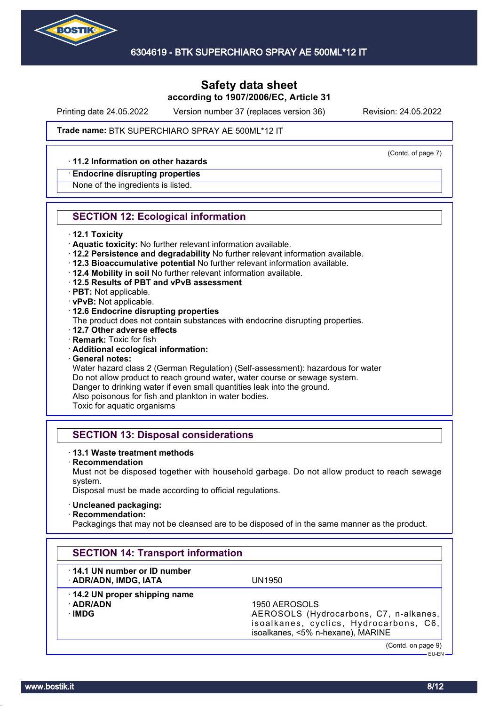

Printing date 24.05.2022 Version number 37 (replaces version 36) Revision: 24.05.2022

(Contd. of page 7)

#### Trade name: BTK SUPERCHIARO SPRAY AE 500ML\*12 IT

### · **11.2 Information on other hazards**

#### · **Endocrine disrupting properties**

None of the ingredients is listed.

### **SECTION 12: Ecological information**

- · **12.1 Toxicity**
- · **Aquatic toxicity:** No further relevant information available.
- · **12.2 Persistence and degradability** No further relevant information available.
- · **12.3 Bioaccumulative potential** No further relevant information available.
- · **12.4 Mobility in soil** No further relevant information available.
- · **12.5 Results of PBT and vPvB assessment**
- · **PBT:** Not applicable.
- · **vPvB:** Not applicable.
- · **12.6 Endocrine disrupting properties**
- The product does not contain substances with endocrine disrupting properties.
- · **12.7 Other adverse effects**
- · **Remark:** Toxic for fish
- · **Additional ecological information:**
- · **General notes:**

Water hazard class 2 (German Regulation) (Self-assessment): hazardous for water Do not allow product to reach ground water, water course or sewage system. Danger to drinking water if even small quantities leak into the ground. Also poisonous for fish and plankton in water bodies.

Toxic for aquatic organisms

## **SECTION 13: Disposal considerations**

#### · **13.1 Waste treatment methods**

· **Recommendation**

Must not be disposed together with household garbage. Do not allow product to reach sewage system.

Disposal must be made according to official regulations.

#### · **Uncleaned packaging:**

· **Recommendation:**

Packagings that may not be cleansed are to be disposed of in the same manner as the product.

| <b>SECTION 14: Transport information</b>             |                                                                                                                                        |
|------------------------------------------------------|----------------------------------------------------------------------------------------------------------------------------------------|
| 14.1 UN number or ID number<br>· ADR/ADN, IMDG, IATA | UN1950                                                                                                                                 |
| 14.2 UN proper shipping name<br>· ADR/ADN<br>∙IMDG   | 1950 AEROSOLS<br>AEROSOLS (Hydrocarbons, C7, n-alkanes,<br>isoalkanes, cyclics, Hydrocarbons, C6,<br>isoalkanes, <5% n-hexane), MARINE |
|                                                      | (Contd. on page 9)<br>$EU$ -EN $-$                                                                                                     |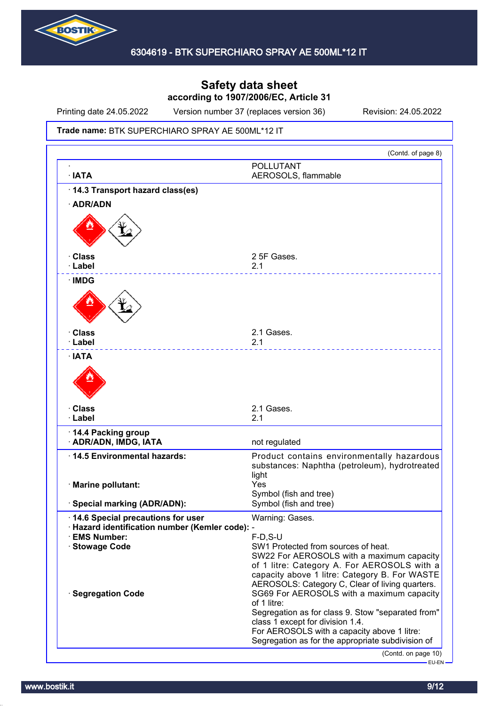

Printing date 24.05.2022 Version number 37 (replaces version 36) Revision: 24.05.2022

#### Trade name: BTK SUPERCHIARO SPRAY AE 500ML\*12 IT

|                                                                     | (Contd. of page 8)                                                                               |
|---------------------------------------------------------------------|--------------------------------------------------------------------------------------------------|
| · IATA                                                              | <b>POLLUTANT</b><br>AEROSOLS, flammable                                                          |
| 14.3 Transport hazard class(es)                                     |                                                                                                  |
| · ADR/ADN                                                           |                                                                                                  |
|                                                                     |                                                                                                  |
| · Class                                                             | 2 5F Gases.                                                                                      |
| · Label                                                             | 2.1                                                                                              |
| · IMDG                                                              |                                                                                                  |
|                                                                     |                                                                                                  |
| · Class                                                             | 2.1 Gases.                                                                                       |
| · Label                                                             | 2.1                                                                                              |
| ∙ IATA                                                              |                                                                                                  |
| <b>· Class</b><br>· Label                                           | 2.1 Gases.<br>2.1                                                                                |
|                                                                     |                                                                                                  |
| 14.4 Packing group<br>· ADR/ADN, IMDG, IATA                         | not regulated                                                                                    |
| 14.5 Environmental hazards:                                         | Product contains environmentally hazardous                                                       |
|                                                                     | substances: Naphtha (petroleum), hydrotreated                                                    |
| · Marine pollutant:                                                 | light<br>Yes                                                                                     |
|                                                                     | Symbol (fish and tree)                                                                           |
| · Special marking (ADR/ADN):                                        | Symbol (fish and tree)                                                                           |
| 14.6 Special precautions for user                                   | Warning: Gases.                                                                                  |
| Hazard identification number (Kemler code): -<br><b>EMS Number:</b> |                                                                                                  |
| · Stowage Code                                                      | $F-D$ , S-U<br>SW1 Protected from sources of heat.                                               |
|                                                                     | SW22 For AEROSOLS with a maximum capacity                                                        |
|                                                                     | of 1 litre: Category A. For AEROSOLS with a                                                      |
|                                                                     | capacity above 1 litre: Category B. For WASTE<br>AEROSOLS: Category C, Clear of living quarters. |
| · Segregation Code                                                  | SG69 For AEROSOLS with a maximum capacity                                                        |
|                                                                     | of 1 litre:<br>Segregation as for class 9. Stow "separated from"                                 |
|                                                                     | class 1 except for division 1.4.                                                                 |
|                                                                     | For AEROSOLS with a capacity above 1 litre:                                                      |
|                                                                     | Segregation as for the appropriate subdivision of                                                |
|                                                                     | (Contd. on page 10)                                                                              |
|                                                                     | $-$ EU-EN $-$                                                                                    |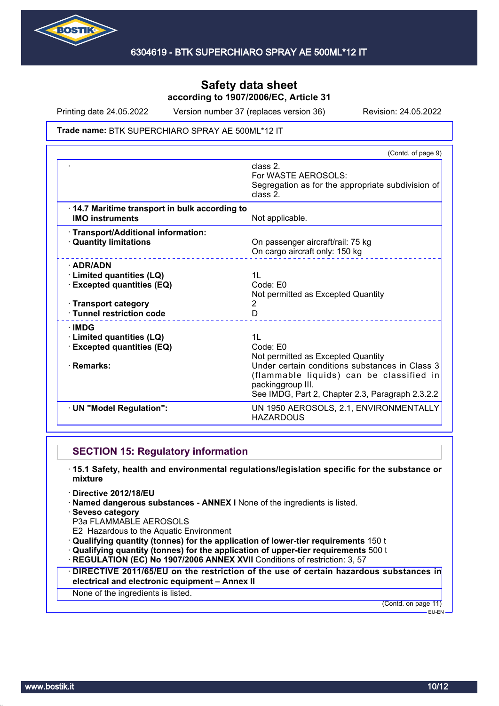

Printing date 24.05.2022 Version number 37 (replaces version 36) Revision: 24.05.2022

#### Trade name: BTK SUPERCHIARO SPRAY AE 500ML\*12 IT

|                                                                                                                                      | (Contd. of page 9)                                                                                                                                                                                                                      |
|--------------------------------------------------------------------------------------------------------------------------------------|-----------------------------------------------------------------------------------------------------------------------------------------------------------------------------------------------------------------------------------------|
|                                                                                                                                      | class 2.<br>For WASTE AEROSOLS:<br>Segregation as for the appropriate subdivision of<br>class 2.                                                                                                                                        |
| 14.7 Maritime transport in bulk according to<br><b>IMO instruments</b>                                                               | Not applicable.                                                                                                                                                                                                                         |
| · Transport/Additional information:<br><b>Quantity limitations</b>                                                                   | On passenger aircraft/rail: 75 kg<br>On cargo aircraft only: 150 kg                                                                                                                                                                     |
| $\cdot$ ADR/ADN<br>· Limited quantities (LQ)<br><b>Excepted quantities (EQ)</b><br>· Transport category<br>· Tunnel restriction code | 1L<br>Code: E0<br>Not permitted as Excepted Quantity<br>2<br>D                                                                                                                                                                          |
| ∴IMDG<br><b>Limited quantities (LQ)</b><br><b>Excepted quantities (EQ)</b><br>· Remarks:                                             | 1 <sub>L</sub><br>Code: E0<br>Not permitted as Excepted Quantity<br>Under certain conditions substances in Class 3<br>(flammable liquids) can be classified in<br>packinggroup III.<br>See IMDG, Part 2, Chapter 2.3, Paragraph 2.3.2.2 |
| · UN "Model Regulation":                                                                                                             | UN 1950 AEROSOLS, 2.1, ENVIRONMENTALLY<br><b>HAZARDOUS</b>                                                                                                                                                                              |

### **SECTION 15: Regulatory information**

- · **15.1 Safety, health and environmental regulations/legislation specific for the substance or mixture**
- · **Directive 2012/18/EU**
- · **Named dangerous substances ANNEX I** None of the ingredients is listed.
- · **Seveso category**
- P3a FLAMMABLE AEROSOLS
- E2 Hazardous to the Aquatic Environment
- · **Qualifying quantity (tonnes) for the application of lower-tier requirements** 150 t
- · **Qualifying quantity (tonnes) for the application of upper-tier requirements** 500 t
- · **REGULATION (EC) No 1907/2006 ANNEX XVII** Conditions of restriction: 3, 57
- · **DIRECTIVE 2011/65/EU on the restriction of the use of certain hazardous substances in electrical and electronic equipment – Annex II**

None of the ingredients is listed.

(Contd. on page 11) EU-EN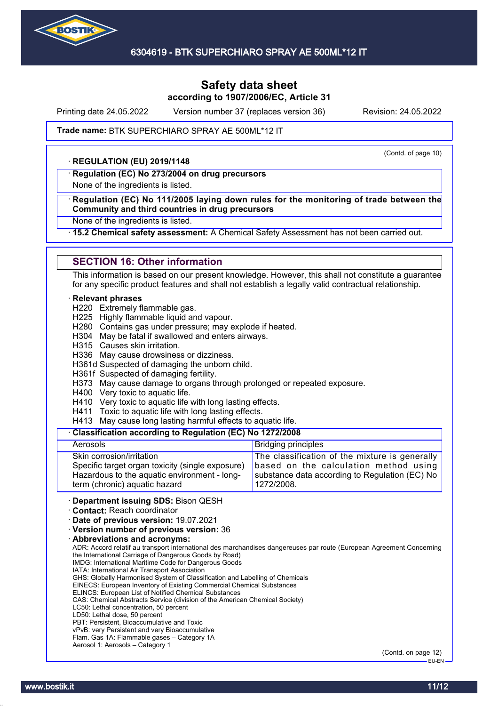

Printing date 24.05.2022 Version number 37 (replaces version 36) Revision: 24.05.2022

(Contd. of page 10)

#### Trade name: BTK SUPERCHIARO SPRAY AE 500ML\*12 IT

#### · **REGULATION (EU) 2019/1148**

· **Regulation (EC) No 273/2004 on drug precursors**

None of the ingredients is listed.

#### · **Regulation (EC) No 111/2005 laying down rules for the monitoring of trade between the Community and third countries in drug precursors**

None of the ingredients is listed.

· **15.2 Chemical safety assessment:** A Chemical Safety Assessment has not been carried out.

#### **SECTION 16: Other information**

This information is based on our present knowledge. However, this shall not constitute a guarantee for any specific product features and shall not establish a legally valid contractual relationship.

#### · **Relevant phrases**

H220 Extremely flammable gas.

- H225 Highly flammable liquid and vapour.
- H280 Contains gas under pressure; may explode if heated.
- H304 May be fatal if swallowed and enters airways.
- H315 Causes skin irritation.

H336 May cause drowsiness or dizziness.

H361d Suspected of damaging the unborn child.

H361f Suspected of damaging fertility.

H373 May cause damage to organs through prolonged or repeated exposure.

H400 Very toxic to aquatic life.

H410 Very toxic to aquatic life with long lasting effects.

H411 Toxic to aquatic life with long lasting effects.

H413 May cause long lasting harmful effects to aquatic life.

#### · **Classification according to Regulation (EC) No 1272/2008**

| Aerosols                                         | <b>Bridging principles</b>                     |
|--------------------------------------------------|------------------------------------------------|
| Skin corrosion/irritation                        | The classification of the mixture is generally |
| Specific target organ toxicity (single exposure) | based on the calculation method using          |
| Hazardous to the aquatic environment - long-     | substance data according to Regulation (EC) No |
| term (chronic) aquatic hazard                    | 1272/2008.                                     |

· **Department issuing SDS:** Bison QESH

· **Contact:** Reach coordinator

· **Date of previous version:** 19.07.2021

· **Version number of previous version:** 36

· **Abbreviations and acronyms:**

ADR: Accord relatif au transport international des marchandises dangereuses par route (European Agreement Concerning the International Carriage of Dangerous Goods by Road)

IMDG: International Maritime Code for Dangerous Goods

IATA: International Air Transport Association

GHS: Globally Harmonised System of Classification and Labelling of Chemicals EINECS: European Inventory of Existing Commercial Chemical Substances

ELINCS: European List of Notified Chemical Substances

CAS: Chemical Abstracts Service (division of the American Chemical Society)

LC50: Lethal concentration, 50 percent

LD50: Lethal dose, 50 percent

PBT: Persistent, Bioaccumulative and Toxic

vPvB: very Persistent and very Bioaccumulative Flam. Gas 1A: Flammable gases – Category 1A

Aerosol 1: Aerosols – Category 1

(Contd. on page 12) EU-EN